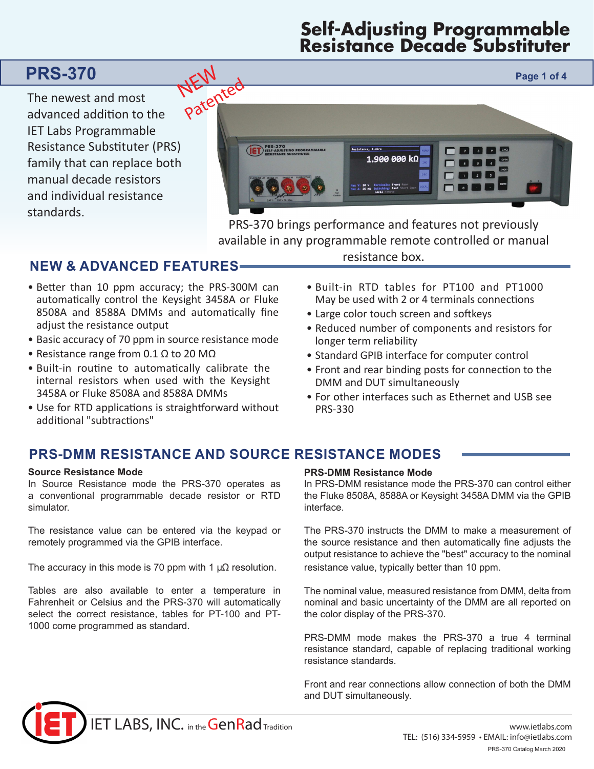# **Self-Adjusting Programmable Resistance Decade Substituter**

The newest and most advanced addition to the IET Labs Programmable Resistance Substituter (PRS) family that can replace both manual decade resistors and individual resistance standards.



PRS-370 brings performance and features not previously available in any programmable remote controlled or manual

# **NEW & ADVANCED FEATURES**

- Better than 10 ppm accuracy; the PRS-300M can automatically control the Keysight 3458A or Fluke 8508A and 8588A DMMs and automatically fine adjust the resistance output
- Basic accuracy of 70 ppm in source resistance mode
- Resistance range from 0.1  $\Omega$  to 20 M $\Omega$
- Built-in routine to automatically calibrate the internal resistors when used with the Keysight 3458A or Fluke 8508A and 8588A DMMs
- Use for RTD applications is straightforward without additional "subtractions"

resistance box.

- Built-in RTD tables for PT100 and PT1000 May be used with 2 or 4 terminals connections
- Large color touch screen and softkeys
- Reduced number of components and resistors for longer term reliability
- Standard GPIB interface for computer control
- Front and rear binding posts for connection to the DMM and DUT simultaneously
- For other interfaces such as Ethernet and USB see PRS-330

# **PRS-DMM RESISTANCE AND SOURCE RESISTANCE MODES**

## **Source Resistance Mode**

In Source Resistance mode the PRS-370 operates as a conventional programmable decade resistor or RTD simulator.

The resistance value can be entered via the keypad or remotely programmed via the GPIB interface.

The accuracy in this mode is 70 ppm with 1  $\mu\Omega$  resolution.

Tables are also available to enter a temperature in Fahrenheit or Celsius and the PRS-370 will automatically select the correct resistance, tables for PT-100 and PT-1000 come programmed as standard.

## **PRS-DMM Resistance Mode**

In PRS-DMM resistance mode the PRS-370 can control either the Fluke 8508A, 8588A or Keysight 3458A DMM via the GPIB interface.

The PRS-370 instructs the DMM to make a measurement of the source resistance and then automatically fine adjusts the output resistance to achieve the "best" accuracy to the nominal resistance value, typically better than 10 ppm.

The nominal value, measured resistance from DMM, delta from nominal and basic uncertainty of the DMM are all reported on the color display of the PRS-370.

PRS-DMM mode makes the PRS-370 a true 4 terminal resistance standard, capable of replacing traditional working resistance standards.

Front and rear connections allow connection of both the DMM and DUT simultaneously.

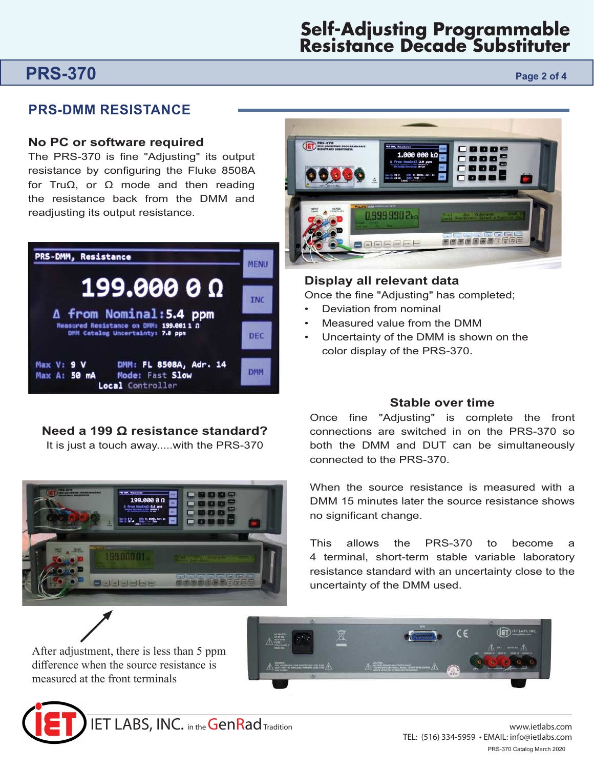# **Self-Adjusting Programmable Resistance Decade Substituter**

# **PRS-370 Page 2 of 4**

# **PRS-DMM RESISTANCE**

## **No PC or software required**

The PRS-370 is fine "Adjusting" its output resistance by configuring the Fluke 8508A for TruΩ, or Ω mode and then reading the resistance back from the DMM and readjusting its output resistance.



# **Need a 199 Ω resistance standard?**

It is just a touch away.....with the PRS-370



After adjustment, there is less than 5 ppm difference when the source resistance is measured at the front terminals





# **Display all relevant data**

Once the fine "Adjusting" has completed;

- Deviation from nominal
- Measured value from the DMM
- Uncertainty of the DMM is shown on the color display of the PRS-370.

# **Stable over time**

Once fine "Adjusting" is complete the front connections are switched in on the PRS-370 so both the DMM and DUT can be simultaneously connected to the PRS-370.

When the source resistance is measured with a DMM 15 minutes later the source resistance shows no significant change.

This allows the PRS-370 to become a 4 terminal, short-term stable variable laboratory resistance standard with an uncertainty close to the uncertainty of the DMM used.

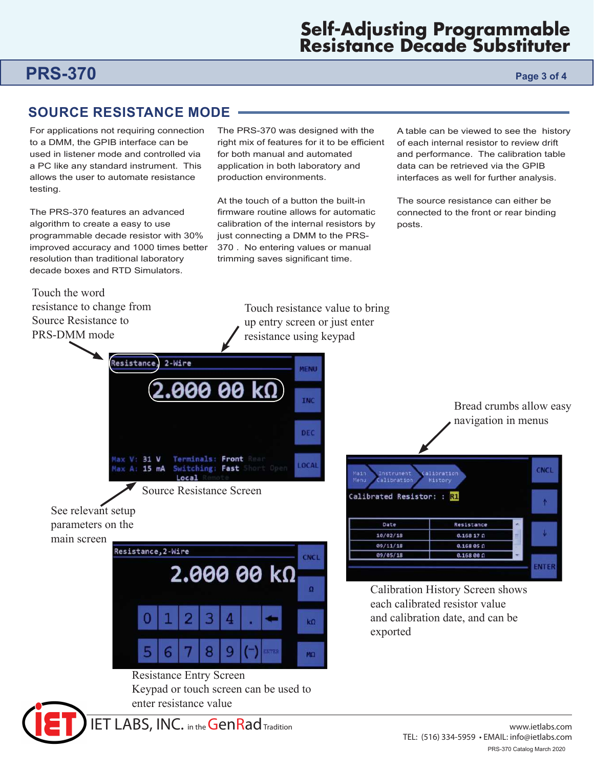# **Self-Adjusting Programmable Resistance Decade Substituter**

# **PRS-370 Page 3 of 4**

# **SOURCE RESISTANCE MODE**

For applications not requiring connection to a DMM, the GPIB interface can be used in listener mode and controlled via a PC like any standard instrument. This allows the user to automate resistance testing.

The PRS-370 features an advanced algorithm to create a easy to use programmable decade resistor with 30% improved accuracy and 1000 times better resolution than traditional laboratory decade boxes and RTD Simulators.

Resistance,

 $V: 31 V$ 

Touch the word resistance to change from Source Resistance to PRS-DMM mode

The PRS-370 was designed with the right mix of features for it to be efficient for both manual and automated application in both laboratory and production environments.

At the touch of a button the built-in firmware routine allows for automatic calibration of the internal resistors by just connecting a DMM to the PRS-370 . No entering values or manual trimming saves significant time.

A table can be viewed to see the history of each internal resistor to review drift and performance. The calibration table data can be retrieved via the GPIB interfaces as well for further analysis.

The source resistance can either be connected to the front or rear binding posts.

Touch resistance value to bring up entry screen or just enter resistance using keypad

**MENU** 

**INC** 

DEC

LOCAL

Bread crumbs allow easy navigation in menus



 $2-Wire$ 

คค

Terminals: Front



90



Calibration History Screen shows each calibrated resistor value and calibration date, and can be exported

# Resistance Entry Screen

Keypad or touch screen can be used to enter resistance value